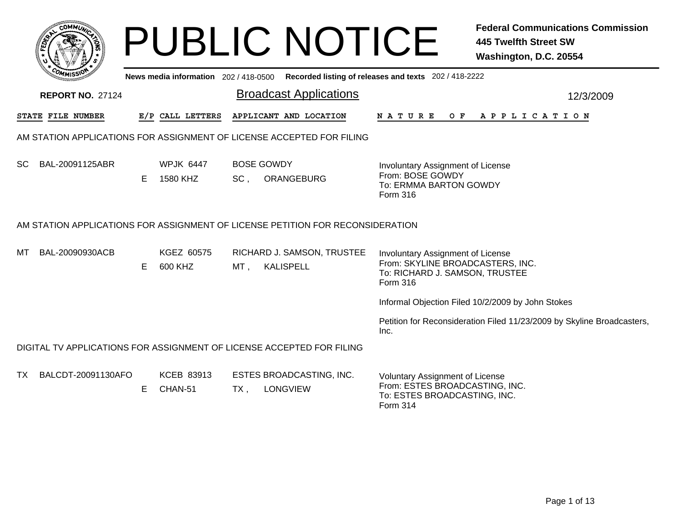|     |                         |    |                                     |        | <b>PUBLIC NOTICE</b>                                                           |                                                                                                                             | <b>Federal Communications Commission</b><br><b>445 Twelfth Street SW</b><br>Washington, D.C. 20554 |
|-----|-------------------------|----|-------------------------------------|--------|--------------------------------------------------------------------------------|-----------------------------------------------------------------------------------------------------------------------------|----------------------------------------------------------------------------------------------------|
|     |                         |    | News media information 202/418-0500 |        |                                                                                | Recorded listing of releases and texts 202 / 418-2222                                                                       |                                                                                                    |
|     | <b>REPORT NO. 27124</b> |    |                                     |        | <b>Broadcast Applications</b>                                                  |                                                                                                                             | 12/3/2009                                                                                          |
|     | STATE FILE NUMBER       |    | E/P CALL LETTERS                    |        | APPLICANT AND LOCATION                                                         | N A T U R E<br>O F                                                                                                          | A P P L I C A T I O N                                                                              |
|     |                         |    |                                     |        | AM STATION APPLICATIONS FOR ASSIGNMENT OF LICENSE ACCEPTED FOR FILING          |                                                                                                                             |                                                                                                    |
| SC. | BAL-20091125ABR         | E. | <b>WPJK 6447</b><br>1580 KHZ        | $SC$ , | <b>BOSE GOWDY</b><br>ORANGEBURG                                                | Involuntary Assignment of License<br>From: BOSE GOWDY<br>To: ERMMA BARTON GOWDY<br>Form 316                                 |                                                                                                    |
|     |                         |    |                                     |        | AM STATION APPLICATIONS FOR ASSIGNMENT OF LICENSE PETITION FOR RECONSIDERATION |                                                                                                                             |                                                                                                    |
| мı  | BAL-20090930ACB         | E. | KGEZ 60575<br>600 KHZ               | MT,    | RICHARD J. SAMSON, TRUSTEE<br><b>KALISPELL</b>                                 | Involuntary Assignment of License<br>From: SKYLINE BROADCASTERS, INC.<br>To: RICHARD J. SAMSON, TRUSTEE<br>Form 316         |                                                                                                    |
|     |                         |    |                                     |        |                                                                                |                                                                                                                             | Informal Objection Filed 10/2/2009 by John Stokes                                                  |
|     |                         |    |                                     |        |                                                                                | Inc.                                                                                                                        | Petition for Reconsideration Filed 11/23/2009 by Skyline Broadcasters,                             |
|     |                         |    |                                     |        | DIGITAL TV APPLICATIONS FOR ASSIGNMENT OF LICENSE ACCEPTED FOR FILING          |                                                                                                                             |                                                                                                    |
| TX. | BALCDT-20091130AFO      | E. | KCEB 83913<br>CHAN-51               | TX.    | ESTES BROADCASTING, INC.<br><b>LONGVIEW</b>                                    | <b>Voluntary Assignment of License</b><br>From: ESTES BROADCASTING, INC.<br>To: ESTES BROADCASTING, INC.<br><b>Form 314</b> |                                                                                                    |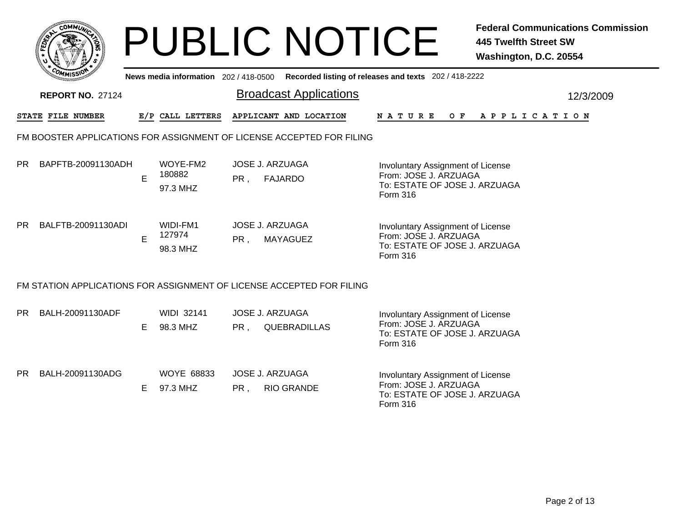|     | <b>COMMUT</b>                                                         |    |                                       |                 | <b>PUBLIC NOTICE</b>                                                  |                                                                                                         |  | <b>445 Twelfth Street SW</b><br>Washington, D.C. 20554 | <b>Federal Communications Commission</b> |  |  |  |
|-----|-----------------------------------------------------------------------|----|---------------------------------------|-----------------|-----------------------------------------------------------------------|---------------------------------------------------------------------------------------------------------|--|--------------------------------------------------------|------------------------------------------|--|--|--|
|     |                                                                       |    | News media information 202 / 418-0500 |                 | Recorded listing of releases and texts 202 / 418-2222                 |                                                                                                         |  |                                                        |                                          |  |  |  |
|     | <b>REPORT NO. 27124</b>                                               |    |                                       |                 | <b>Broadcast Applications</b>                                         |                                                                                                         |  |                                                        | 12/3/2009                                |  |  |  |
|     | STATE FILE NUMBER                                                     |    | E/P CALL LETTERS                      |                 | APPLICANT AND LOCATION                                                | N A T U R E                                                                                             |  | OF APPLICATION                                         |                                          |  |  |  |
|     | FM BOOSTER APPLICATIONS FOR ASSIGNMENT OF LICENSE ACCEPTED FOR FILING |    |                                       |                 |                                                                       |                                                                                                         |  |                                                        |                                          |  |  |  |
| PR. | BAPFTB-20091130ADH                                                    | E. | WOYE-FM2<br>180882<br>97.3 MHZ        | PR,             | <b>JOSE J. ARZUAGA</b><br><b>FAJARDO</b>                              | Involuntary Assignment of License<br>From: JOSE J. ARZUAGA<br>To: ESTATE OF JOSE J. ARZUAGA<br>Form 316 |  |                                                        |                                          |  |  |  |
| PR. | BALFTB-20091130ADI                                                    | E  | WIDI-FM1<br>127974<br>98.3 MHZ        | PR,             | <b>JOSE J. ARZUAGA</b><br>MAYAGUEZ                                    | Involuntary Assignment of License<br>From: JOSE J. ARZUAGA<br>To: ESTATE OF JOSE J. ARZUAGA<br>Form 316 |  |                                                        |                                          |  |  |  |
|     |                                                                       |    |                                       |                 | FM STATION APPLICATIONS FOR ASSIGNMENT OF LICENSE ACCEPTED FOR FILING |                                                                                                         |  |                                                        |                                          |  |  |  |
| PR. | BALH-20091130ADF                                                      | E. | <b>WIDI 32141</b><br>98.3 MHZ         | PR <sub>1</sub> | <b>JOSE J. ARZUAGA</b><br>QUEBRADILLAS                                | Involuntary Assignment of License<br>From: JOSE J. ARZUAGA<br>To: ESTATE OF JOSE J. ARZUAGA<br>Form 316 |  |                                                        |                                          |  |  |  |
| PR. | BALH-20091130ADG                                                      | E. | <b>WOYE 68833</b><br>97.3 MHZ         | PR,             | <b>JOSE J. ARZUAGA</b><br><b>RIO GRANDE</b>                           | Involuntary Assignment of License<br>From: JOSE J. ARZUAGA<br>To: ESTATE OF JOSE J. ARZUAGA<br>Form 316 |  |                                                        |                                          |  |  |  |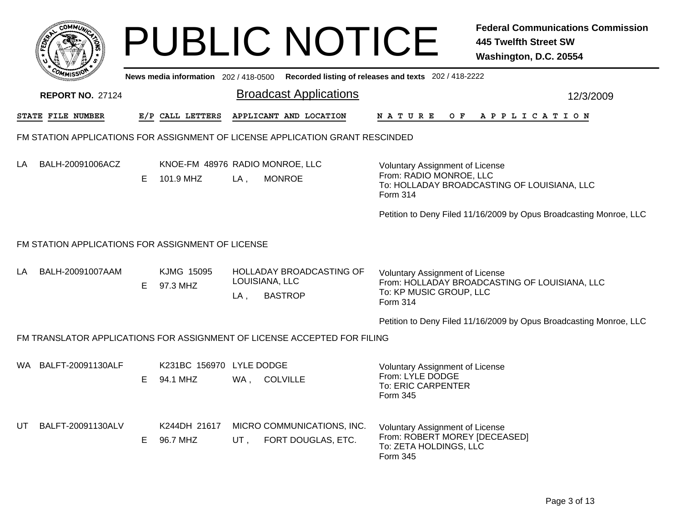|        | MMUNICT<br>ום<br>C. |  |
|--------|---------------------|--|
| క<br>w |                     |  |
|        |                     |  |
|        | COMI<br>MISS        |  |

## PUBLIC NOTICE **Federal Communications Commission 445 Twelfth Street SW Washington, D.C. 20554**

|     | COMMISSION                                        |    |                                              |     | News media information 202/418-0500 Recorded listing of releases and texts 202/418-2222 |                                                                                                                                |           |  |  |  |  |
|-----|---------------------------------------------------|----|----------------------------------------------|-----|-----------------------------------------------------------------------------------------|--------------------------------------------------------------------------------------------------------------------------------|-----------|--|--|--|--|
|     | <b>REPORT NO. 27124</b>                           |    |                                              |     | <b>Broadcast Applications</b>                                                           |                                                                                                                                | 12/3/2009 |  |  |  |  |
|     | STATE FILE NUMBER                                 |    | E/P CALL LETTERS                             |     | APPLICANT AND LOCATION                                                                  | <b>NATURE</b><br>OF APPLICATION                                                                                                |           |  |  |  |  |
|     |                                                   |    |                                              |     | FM STATION APPLICATIONS FOR ASSIGNMENT OF LICENSE APPLICATION GRANT RESCINDED           |                                                                                                                                |           |  |  |  |  |
| LA  | BALH-20091006ACZ                                  | E. | KNOE-FM 48976 RADIO MONROE, LLC<br>101.9 MHZ | LA, | <b>MONROE</b>                                                                           | <b>Voluntary Assignment of License</b><br>From: RADIO MONROE, LLC<br>To: HOLLADAY BROADCASTING OF LOUISIANA, LLC<br>Form 314   |           |  |  |  |  |
|     |                                                   |    |                                              |     |                                                                                         | Petition to Deny Filed 11/16/2009 by Opus Broadcasting Monroe, LLC                                                             |           |  |  |  |  |
|     | FM STATION APPLICATIONS FOR ASSIGNMENT OF LICENSE |    |                                              |     |                                                                                         |                                                                                                                                |           |  |  |  |  |
| LA  | BALH-20091007AAM                                  | E. | KJMG 15095<br>97.3 MHZ                       | LA, | HOLLADAY BROADCASTING OF<br>LOUISIANA, LLC<br><b>BASTROP</b>                            | <b>Voluntary Assignment of License</b><br>From: HOLLADAY BROADCASTING OF LOUISIANA, LLC<br>To: KP MUSIC GROUP, LLC<br>Form 314 |           |  |  |  |  |
|     |                                                   |    |                                              |     |                                                                                         | Petition to Deny Filed 11/16/2009 by Opus Broadcasting Monroe, LLC                                                             |           |  |  |  |  |
|     |                                                   |    |                                              |     | FM TRANSLATOR APPLICATIONS FOR ASSIGNMENT OF LICENSE ACCEPTED FOR FILING                |                                                                                                                                |           |  |  |  |  |
| WA. | BALFT-20091130ALF                                 | E. | K231BC 156970 LYLE DODGE<br>94.1 MHZ         |     | WA, COLVILLE                                                                            | <b>Voluntary Assignment of License</b><br>From: LYLE DODGE<br>To: ERIC CARPENTER<br>Form 345                                   |           |  |  |  |  |
| UT. | BALFT-20091130ALV                                 | E. | K244DH 21617<br>96.7 MHZ                     | UT. | MICRO COMMUNICATIONS, INC.<br>FORT DOUGLAS, ETC.                                        | <b>Voluntary Assignment of License</b><br>From: ROBERT MOREY [DECEASED]<br>To: ZETA HOLDINGS, LLC<br>Form 345                  |           |  |  |  |  |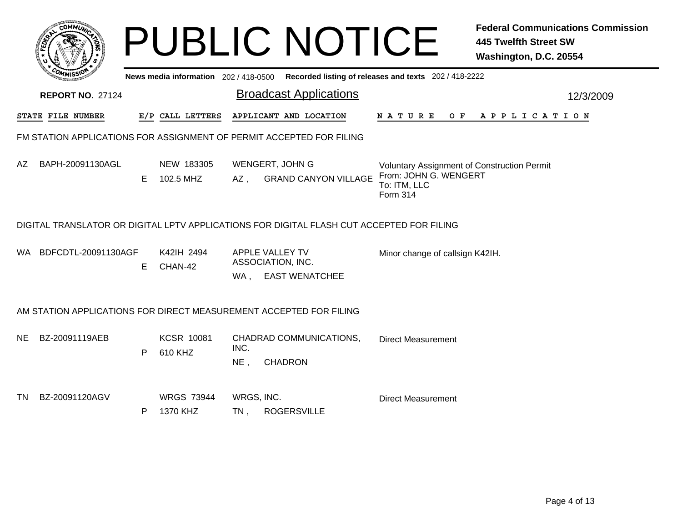|     | $60$ MM $\overrightarrow{0}$                                         |    |                                     |                      | <b>PUBLIC NOTICE</b>                                                                      |                                                                                                  | <b>Federal Communications Commission</b><br><b>445 Twelfth Street SW</b><br>Washington, D.C. 20554 |  |  |  |  |  |
|-----|----------------------------------------------------------------------|----|-------------------------------------|----------------------|-------------------------------------------------------------------------------------------|--------------------------------------------------------------------------------------------------|----------------------------------------------------------------------------------------------------|--|--|--|--|--|
|     |                                                                      |    | News media information 202/418-0500 |                      |                                                                                           | Recorded listing of releases and texts 202 / 418-2222                                            |                                                                                                    |  |  |  |  |  |
|     | <b>REPORT NO. 27124</b>                                              |    |                                     |                      | <b>Broadcast Applications</b>                                                             |                                                                                                  | 12/3/2009                                                                                          |  |  |  |  |  |
|     | STATE FILE NUMBER                                                    |    | E/P CALL LETTERS                    |                      | APPLICANT AND LOCATION                                                                    | N A T U R E<br>O F                                                                               | A P P L I C A T I O N                                                                              |  |  |  |  |  |
|     | FM STATION APPLICATIONS FOR ASSIGNMENT OF PERMIT ACCEPTED FOR FILING |    |                                     |                      |                                                                                           |                                                                                                  |                                                                                                    |  |  |  |  |  |
| AZ  | BAPH-20091130AGL                                                     | E. | NEW 183305<br>102.5 MHZ             | $AZ$ ,               | WENGERT, JOHN G<br><b>GRAND CANYON VILLAGE</b>                                            | Voluntary Assignment of Construction Permit<br>From: JOHN G. WENGERT<br>To: ITM, LLC<br>Form 314 |                                                                                                    |  |  |  |  |  |
|     |                                                                      |    |                                     |                      | DIGITAL TRANSLATOR OR DIGITAL LPTV APPLICATIONS FOR DIGITAL FLASH CUT ACCEPTED FOR FILING |                                                                                                  |                                                                                                    |  |  |  |  |  |
| WA. | BDFCDTL-20091130AGF                                                  | Е  | K42IH 2494<br>CHAN-42               | WA,                  | APPLE VALLEY TV<br>ASSOCIATION, INC.<br><b>EAST WENATCHEE</b>                             | Minor change of callsign K42IH.                                                                  |                                                                                                    |  |  |  |  |  |
|     |                                                                      |    |                                     |                      | AM STATION APPLICATIONS FOR DIRECT MEASUREMENT ACCEPTED FOR FILING                        |                                                                                                  |                                                                                                    |  |  |  |  |  |
| NE. | BZ-20091119AEB                                                       | P  | <b>KCSR 10081</b><br>610 KHZ        | INC.<br>$NE$ ,       | CHADRAD COMMUNICATIONS,<br><b>CHADRON</b>                                                 | <b>Direct Measurement</b>                                                                        |                                                                                                    |  |  |  |  |  |
| TN  | BZ-20091120AGV                                                       | P  | <b>WRGS 73944</b><br>1370 KHZ       | WRGS, INC.<br>$TN$ , | <b>ROGERSVILLE</b>                                                                        | <b>Direct Measurement</b>                                                                        |                                                                                                    |  |  |  |  |  |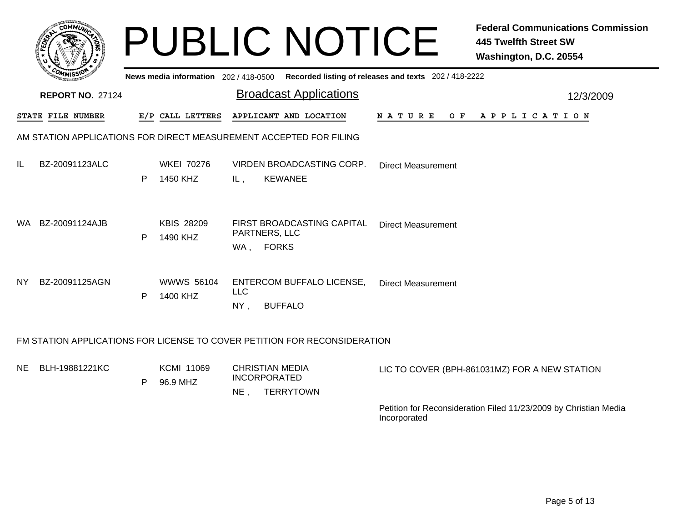|      |                         |   | News media information 202/418-0500 | <b>PUBLIC NOTICE</b>                                                        | <b>Federal Communications Commission</b><br><b>445 Twelfth Street SW</b><br>Washington, D.C. 20554<br>Recorded listing of releases and texts 202 / 418-2222 |
|------|-------------------------|---|-------------------------------------|-----------------------------------------------------------------------------|-------------------------------------------------------------------------------------------------------------------------------------------------------------|
|      | <b>REPORT NO. 27124</b> |   |                                     | <b>Broadcast Applications</b>                                               | 12/3/2009                                                                                                                                                   |
|      | STATE FILE NUMBER       |   | E/P CALL LETTERS                    | APPLICANT AND LOCATION                                                      | N A T U R E<br>O F<br>A P P L I C A T I O N                                                                                                                 |
|      |                         |   |                                     | AM STATION APPLICATIONS FOR DIRECT MEASUREMENT ACCEPTED FOR FILING          |                                                                                                                                                             |
| IL   | BZ-20091123ALC          | P | <b>WKEI 70276</b><br>1450 KHZ       | VIRDEN BROADCASTING CORP.<br><b>KEWANEE</b><br>IL,                          | <b>Direct Measurement</b>                                                                                                                                   |
| WA . | BZ-20091124AJB          | P | <b>KBIS 28209</b><br>1490 KHZ       | FIRST BROADCASTING CAPITAL<br>PARTNERS, LLC<br><b>FORKS</b><br>WA,          | <b>Direct Measurement</b>                                                                                                                                   |
| NY.  | BZ-20091125AGN          | P | <b>WWWS 56104</b><br>1400 KHZ       | ENTERCOM BUFFALO LICENSE,<br><b>LLC</b><br>$NY$ ,<br><b>BUFFALO</b>         | <b>Direct Measurement</b>                                                                                                                                   |
|      |                         |   |                                     | FM STATION APPLICATIONS FOR LICENSE TO COVER PETITION FOR RECONSIDERATION   |                                                                                                                                                             |
| NE.  | BLH-19881221KC          | P | <b>KCMI 11069</b><br>96.9 MHZ       | <b>CHRISTIAN MEDIA</b><br><b>INCORPORATED</b><br>$NE$ ,<br><b>TERRYTOWN</b> | LIC TO COVER (BPH-861031MZ) FOR A NEW STATION                                                                                                               |
|      |                         |   |                                     |                                                                             | Petition for Reconsideration Filed 11/23/2009 by Christian Media<br>Incorporated                                                                            |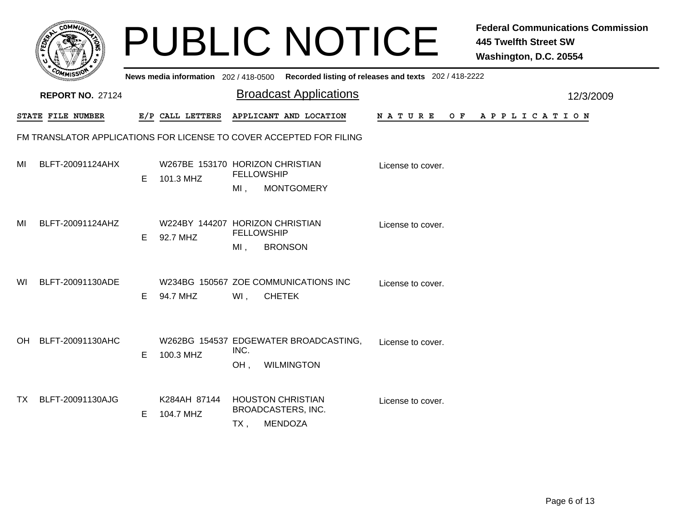|     |                                                                     |    |                                                  |                                                              | <b>PUBLIC NOTICE</b>                                       |                                                                                         | <b>Federal Communications Commission</b><br><b>445 Twelfth Street SW</b><br>Washington, D.C. 20554 |
|-----|---------------------------------------------------------------------|----|--------------------------------------------------|--------------------------------------------------------------|------------------------------------------------------------|-----------------------------------------------------------------------------------------|----------------------------------------------------------------------------------------------------|
|     |                                                                     |    |                                                  |                                                              |                                                            | News media information 202/418-0500 Recorded listing of releases and texts 202/418-2222 |                                                                                                    |
|     | <b>REPORT NO. 27124</b>                                             |    |                                                  |                                                              | <b>Broadcast Applications</b>                              |                                                                                         | 12/3/2009                                                                                          |
|     | STATE FILE NUMBER                                                   |    | E/P CALL LETTERS                                 |                                                              | APPLICANT AND LOCATION                                     | N A T U R E                                                                             | OF APPLICATION                                                                                     |
|     | FM TRANSLATOR APPLICATIONS FOR LICENSE TO COVER ACCEPTED FOR FILING |    |                                                  |                                                              |                                                            |                                                                                         |                                                                                                    |
| MI  | BLFT-20091124AHX                                                    | E. | W267BE 153170 HORIZON CHRISTIAN<br>101.3 MHZ     | <b>FELLOWSHIP</b><br>$MI$ ,                                  | <b>MONTGOMERY</b>                                          | License to cover.                                                                       |                                                                                                    |
| MI  | BLFT-20091124AHZ                                                    | E. | W224BY 144207 HORIZON CHRISTIAN<br>92.7 MHZ      | <b>FELLOWSHIP</b><br>$MI$ ,                                  | <b>BRONSON</b>                                             | License to cover.                                                                       |                                                                                                    |
| WI. | BLFT-20091130ADE                                                    | E. | W234BG 150567 ZOE COMMUNICATIONS INC<br>94.7 MHZ | WI,                                                          | <b>CHETEK</b>                                              | License to cover.                                                                       |                                                                                                    |
| OH. | BLFT-20091130AHC                                                    | E. | 100.3 MHZ                                        | INC.<br>OH.                                                  | W262BG 154537 EDGEWATER BROADCASTING,<br><b>WILMINGTON</b> | License to cover.                                                                       |                                                                                                    |
| TX. | BLFT-20091130AJG                                                    | E  | K284AH 87144<br>104.7 MHZ                        | <b>HOUSTON CHRISTIAN</b><br><b>BROADCASTERS, INC.</b><br>TX, | <b>MENDOZA</b>                                             | License to cover.                                                                       |                                                                                                    |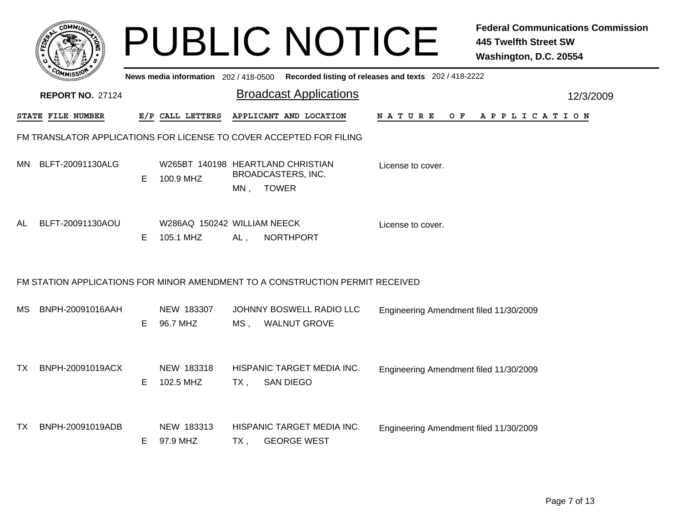|     | <b>сомми</b>            |    |                                          |        | <b>PUBLIC NOTICE</b>                                                          |                                                       | <b>Federal Communications Commission</b><br><b>445 Twelfth Street SW</b><br>Washington, D.C. 20554 |
|-----|-------------------------|----|------------------------------------------|--------|-------------------------------------------------------------------------------|-------------------------------------------------------|----------------------------------------------------------------------------------------------------|
|     |                         |    | News media information 202 / 418-0500    |        |                                                                               | Recorded listing of releases and texts 202 / 418-2222 |                                                                                                    |
|     | <b>REPORT NO. 27124</b> |    |                                          |        | <b>Broadcast Applications</b>                                                 |                                                       | 12/3/2009                                                                                          |
|     | STATE FILE NUMBER       |    | E/P CALL LETTERS                         |        | APPLICANT AND LOCATION                                                        | N A T U R E<br>O F                                    | A P P L I C A T I O N                                                                              |
|     |                         |    |                                          |        | FM TRANSLATOR APPLICATIONS FOR LICENSE TO COVER ACCEPTED FOR FILING           |                                                       |                                                                                                    |
| MN. | BLFT-20091130ALG        | Е  | 100.9 MHZ                                | MN,    | W265BT 140198 HEARTLAND CHRISTIAN<br>BROADCASTERS, INC.<br><b>TOWER</b>       | License to cover.                                     |                                                                                                    |
| AL  | BLFT-20091130AOU        | Е  | W286AQ 150242 WILLIAM NEECK<br>105.1 MHZ | AL,    | <b>NORTHPORT</b>                                                              | License to cover.                                     |                                                                                                    |
|     |                         |    |                                          |        | FM STATION APPLICATIONS FOR MINOR AMENDMENT TO A CONSTRUCTION PERMIT RECEIVED |                                                       |                                                                                                    |
| МS  | BNPH-20091016AAH        | E. | NEW 183307<br>96.7 MHZ                   | MS .   | JOHNNY BOSWELL RADIO LLC<br><b>WALNUT GROVE</b>                               | Engineering Amendment filed 11/30/2009                |                                                                                                    |
| TX. | BNPH-20091019ACX        | E. | NEW 183318<br>102.5 MHZ                  | $TX$ , | HISPANIC TARGET MEDIA INC.<br><b>SAN DIEGO</b>                                | Engineering Amendment filed 11/30/2009                |                                                                                                    |
| TX. | BNPH-20091019ADB        | E. | NEW 183313<br>97.9 MHZ                   | TX .   | HISPANIC TARGET MEDIA INC.<br><b>GEORGE WEST</b>                              | Engineering Amendment filed 11/30/2009                |                                                                                                    |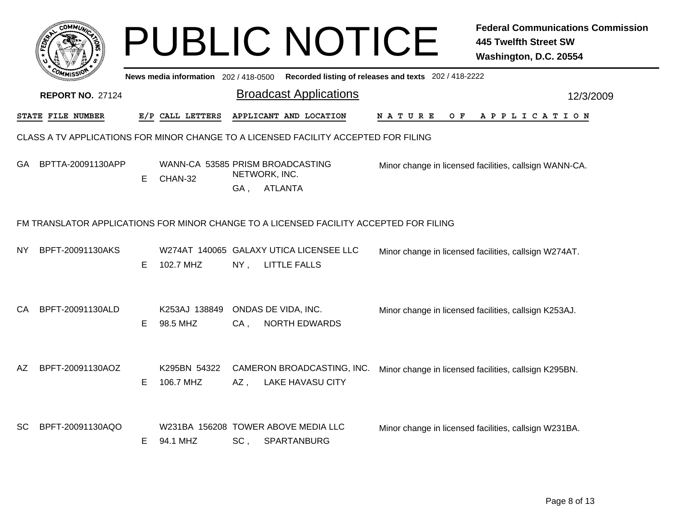|     |                         |    |                                             |        | <b>PUBLIC NOTICE</b>                                                                   |                                                       | <b>Federal Communications Commission</b><br><b>445 Twelfth Street SW</b><br>Washington, D.C. 20554 |
|-----|-------------------------|----|---------------------------------------------|--------|----------------------------------------------------------------------------------------|-------------------------------------------------------|----------------------------------------------------------------------------------------------------|
|     |                         |    | News media information 202/418-0500         |        |                                                                                        | Recorded listing of releases and texts 202 / 418-2222 |                                                                                                    |
|     | <b>REPORT NO. 27124</b> |    |                                             |        | <b>Broadcast Applications</b>                                                          |                                                       | 12/3/2009                                                                                          |
|     | STATE FILE NUMBER       |    | E/P CALL LETTERS                            |        | APPLICANT AND LOCATION                                                                 | N A T U R E<br>O F                                    | A P P L I C A T I O N                                                                              |
|     |                         |    |                                             |        | CLASS A TV APPLICATIONS FOR MINOR CHANGE TO A LICENSED FACILITY ACCEPTED FOR FILING    |                                                       |                                                                                                    |
| GA  | BPTTA-20091130APP       | E. | WANN-CA 53585 PRISM BROADCASTING<br>CHAN-32 |        | NETWORK, INC.                                                                          |                                                       | Minor change in licensed facilities, callsign WANN-CA.                                             |
|     |                         |    |                                             | GA.    | <b>ATLANTA</b>                                                                         |                                                       |                                                                                                    |
|     |                         |    |                                             |        | FM TRANSLATOR APPLICATIONS FOR MINOR CHANGE TO A LICENSED FACILITY ACCEPTED FOR FILING |                                                       |                                                                                                    |
| NY. | BPFT-20091130AKS        | E. | 102.7 MHZ                                   | NY,    | W274AT 140065 GALAXY UTICA LICENSEE LLC<br><b>LITTLE FALLS</b>                         |                                                       | Minor change in licensed facilities, callsign W274AT.                                              |
| СA  | BPFT-20091130ALD        | E. | K253AJ 138849<br>98.5 MHZ                   | $CA$ , | ONDAS DE VIDA, INC.<br><b>NORTH EDWARDS</b>                                            |                                                       | Minor change in licensed facilities, callsign K253AJ.                                              |
| AZ  | BPFT-20091130AOZ        | E. | K295BN 54322<br>106.7 MHZ                   | $AZ$ , | CAMERON BROADCASTING, INC.<br><b>LAKE HAVASU CITY</b>                                  |                                                       | Minor change in licensed facilities, callsign K295BN.                                              |
| SC  | BPFT-20091130AQO        | E. | 94.1 MHZ                                    | $SC$ , | W231BA 156208 TOWER ABOVE MEDIA LLC<br>SPARTANBURG                                     |                                                       | Minor change in licensed facilities, callsign W231BA.                                              |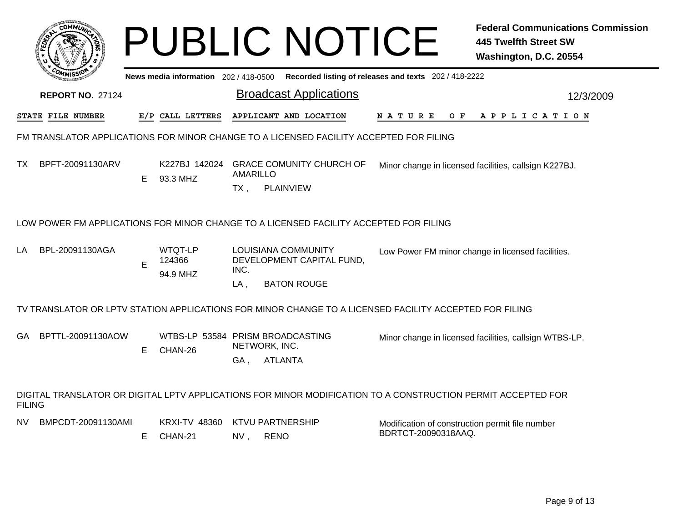|               | COMMUL                                                                                 |    |                                                  |                                               | <b>PUBLIC NOTICE</b>                                                   |                                                                                                              | <b>Federal Communications Commission</b><br><b>445 Twelfth Street SW</b><br>Washington, D.C. 20554 |
|---------------|----------------------------------------------------------------------------------------|----|--------------------------------------------------|-----------------------------------------------|------------------------------------------------------------------------|--------------------------------------------------------------------------------------------------------------|----------------------------------------------------------------------------------------------------|
|               |                                                                                        |    | News media information 202/418-0500              |                                               |                                                                        | Recorded listing of releases and texts 202 / 418-2222                                                        |                                                                                                    |
|               | <b>REPORT NO. 27124</b>                                                                |    |                                                  |                                               | <b>Broadcast Applications</b>                                          |                                                                                                              | 12/3/2009                                                                                          |
|               | STATE FILE NUMBER                                                                      |    | E/P CALL LETTERS                                 |                                               | APPLICANT AND LOCATION                                                 | N A T U R E<br>O F                                                                                           | A P P L I C A T I O N                                                                              |
|               | FM TRANSLATOR APPLICATIONS FOR MINOR CHANGE TO A LICENSED FACILITY ACCEPTED FOR FILING |    |                                                  |                                               |                                                                        |                                                                                                              |                                                                                                    |
| ТX            | BPFT-20091130ARV                                                                       | E. | K227BJ 142024<br>93.3 MHZ                        | <b>AMARILLO</b><br>$TX$ ,                     | <b>GRACE COMUNITY CHURCH OF</b><br><b>PLAINVIEW</b>                    |                                                                                                              | Minor change in licensed facilities, callsign K227BJ.                                              |
|               | LOW POWER FM APPLICATIONS FOR MINOR CHANGE TO A LICENSED FACILITY ACCEPTED FOR FILING  |    |                                                  |                                               |                                                                        |                                                                                                              |                                                                                                    |
| LA            | BPL-20091130AGA                                                                        | E  | WTQT-LP<br>124366<br>94.9 MHZ                    | INC.<br>$LA$ .                                | LOUISIANA COMMUNITY<br>DEVELOPMENT CAPITAL FUND,<br><b>BATON ROUGE</b> |                                                                                                              | Low Power FM minor change in licensed facilities.                                                  |
|               |                                                                                        |    |                                                  |                                               |                                                                        | TV TRANSLATOR OR LPTV STATION APPLICATIONS FOR MINOR CHANGE TO A LICENSED FACILITY ACCEPTED FOR FILING       |                                                                                                    |
| GA.           | BPTTL-20091130AOW                                                                      | E. | WTBS-LP 53584 PRISM BROADCASTING<br>CHAN-26      | NETWORK, INC.<br>GA,                          | <b>ATLANTA</b>                                                         |                                                                                                              | Minor change in licensed facilities, callsign WTBS-LP.                                             |
| <b>FILING</b> |                                                                                        |    |                                                  |                                               |                                                                        | DIGITAL TRANSLATOR OR DIGITAL LPTV APPLICATIONS FOR MINOR MODIFICATION TO A CONSTRUCTION PERMIT ACCEPTED FOR |                                                                                                    |
| NV.           | BMPCDT-20091130AMI                                                                     |    | <b>KRXI-TV 48360</b><br>$F$ $C$ $H$ $N$ $N$ $21$ | <b>KTVU PARTNERSHIP</b><br>NN/<br><b>DENO</b> |                                                                        | Modification of construction permit file number<br>BDRTCT-20090318AAQ.                                       |                                                                                                    |

NV , RENO

E CHAN-21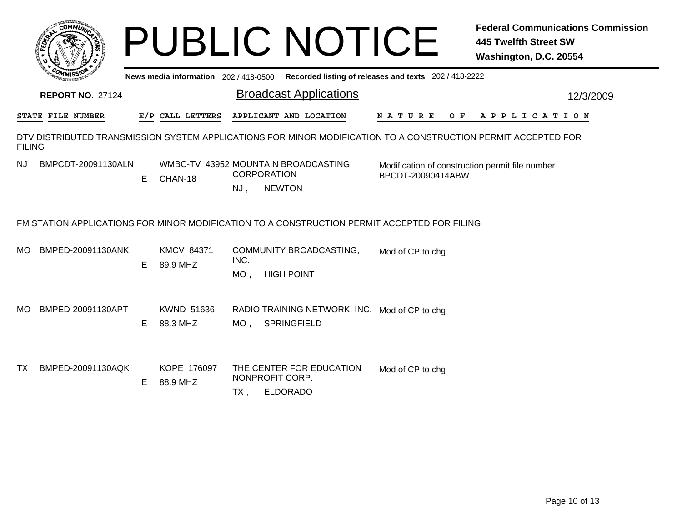|               |                          |    |                                     |                | <b>PUBLIC NOTICE</b>                                                                                          |                    |     | <b>445 Twelfth Street SW</b><br>Washington, D.C. 20554 | <b>Federal Communications Commission</b> |
|---------------|--------------------------|----|-------------------------------------|----------------|---------------------------------------------------------------------------------------------------------------|--------------------|-----|--------------------------------------------------------|------------------------------------------|
|               |                          |    | News media information 202/418-0500 |                | Recorded listing of releases and texts 202 / 418-2222                                                         |                    |     |                                                        |                                          |
|               | <b>REPORT NO. 27124</b>  |    |                                     |                | <b>Broadcast Applications</b>                                                                                 |                    |     |                                                        | 12/3/2009                                |
|               | <b>STATE FILE NUMBER</b> |    | E/P CALL LETTERS                    |                | APPLICANT AND LOCATION                                                                                        | N A T U R E        | O F | A P P L I C A T I O N                                  |                                          |
| <b>FILING</b> |                          |    |                                     |                | DTV DISTRIBUTED TRANSMISSION SYSTEM APPLICATIONS FOR MINOR MODIFICATION TO A CONSTRUCTION PERMIT ACCEPTED FOR |                    |     |                                                        |                                          |
| NJ            | BMPCDT-20091130ALN       | E  | CHAN-18                             | $NJ$ ,         | WMBC-TV 43952 MOUNTAIN BROADCASTING<br><b>CORPORATION</b><br><b>NEWTON</b>                                    | BPCDT-20090414ABW. |     | Modification of construction permit file number        |                                          |
|               |                          |    |                                     |                | FM STATION APPLICATIONS FOR MINOR MODIFICATION TO A CONSTRUCTION PERMIT ACCEPTED FOR FILING                   |                    |     |                                                        |                                          |
| MO.           | BMPED-20091130ANK        | E. | <b>KMCV 84371</b><br>89.9 MHZ       | INC.<br>$MO$ , | COMMUNITY BROADCASTING,<br><b>HIGH POINT</b>                                                                  | Mod of CP to chg   |     |                                                        |                                          |
| MO.           | BMPED-20091130APT        | E. | KWND 51636<br>88.3 MHZ              | MO ,           | RADIO TRAINING NETWORK, INC. Mod of CP to chg<br>SPRINGFIELD                                                  |                    |     |                                                        |                                          |
| TX            | BMPED-20091130AQK        | E. | KOPE 176097<br>88.9 MHZ             | $TX$ ,         | THE CENTER FOR EDUCATION<br>NONPROFIT CORP.<br><b>ELDORADO</b>                                                | Mod of CP to chg   |     |                                                        |                                          |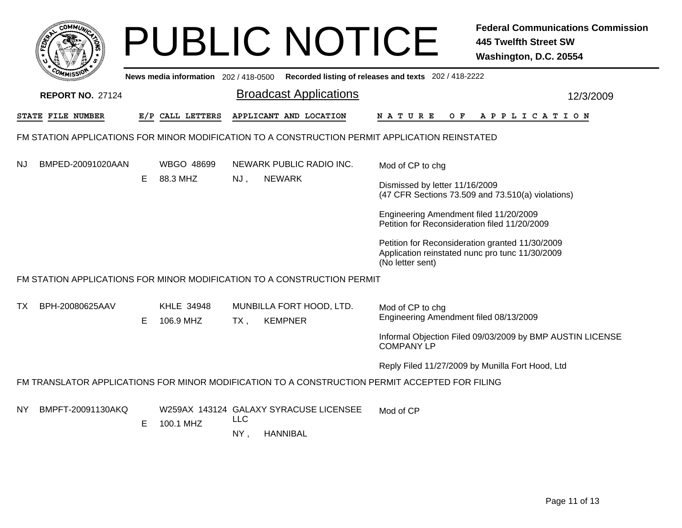| <b>COMMIT</b>                                                                                  |   |                                       |            |  | <b>PUBLIC NOTICE</b>                                |                                                                                     |                                                                                         | <b>Federal Communications Commission</b><br><b>445 Twelfth Street SW</b><br>Washington, D.C. 20554 |  |  |
|------------------------------------------------------------------------------------------------|---|---------------------------------------|------------|--|-----------------------------------------------------|-------------------------------------------------------------------------------------|-----------------------------------------------------------------------------------------|----------------------------------------------------------------------------------------------------|--|--|
|                                                                                                |   | News media information 202 / 418-0500 |            |  | Recorded listing of releases and texts 202/418-2222 |                                                                                     |                                                                                         |                                                                                                    |  |  |
| <b>REPORT NO. 27124</b>                                                                        |   |                                       |            |  | <b>Broadcast Applications</b>                       |                                                                                     |                                                                                         | 12/3/2009                                                                                          |  |  |
| <b>STATE FILE NUMBER</b>                                                                       |   | E/P CALL LETTERS                      |            |  | APPLICANT AND LOCATION                              | N A T U R E                                                                         | O F                                                                                     | A P P L I C A T I O N                                                                              |  |  |
| FM STATION APPLICATIONS FOR MINOR MODIFICATION TO A CONSTRUCTION PERMIT APPLICATION REINSTATED |   |                                       |            |  |                                                     |                                                                                     |                                                                                         |                                                                                                    |  |  |
| BMPED-20091020AAN<br>NJ.                                                                       |   | WBGO 48699                            |            |  | NEWARK PUBLIC RADIO INC.                            | Mod of CP to chg                                                                    |                                                                                         |                                                                                                    |  |  |
|                                                                                                | E | 88.3 MHZ                              | NJ,        |  | <b>NEWARK</b>                                       | Dismissed by letter 11/16/2009<br>(47 CFR Sections 73.509 and 73.510(a) violations) |                                                                                         |                                                                                                    |  |  |
|                                                                                                |   |                                       |            |  |                                                     |                                                                                     | Engineering Amendment filed 11/20/2009<br>Petition for Reconsideration filed 11/20/2009 |                                                                                                    |  |  |
|                                                                                                |   |                                       |            |  |                                                     | (No letter sent)                                                                    |                                                                                         | Petition for Reconsideration granted 11/30/2009<br>Application reinstated nunc pro tunc 11/30/2009 |  |  |
| FM STATION APPLICATIONS FOR MINOR MODIFICATION TO A CONSTRUCTION PERMIT                        |   |                                       |            |  |                                                     |                                                                                     |                                                                                         |                                                                                                    |  |  |
| BPH-20080625AAV<br>TX.                                                                         | Е | KHLE 34948<br>106.9 MHZ               | $TX$ ,     |  | MUNBILLA FORT HOOD, LTD.<br><b>KEMPNER</b>          | Mod of CP to chg                                                                    |                                                                                         | Engineering Amendment filed 08/13/2009                                                             |  |  |
|                                                                                                |   |                                       |            |  |                                                     | <b>COMPANY LP</b>                                                                   |                                                                                         | Informal Objection Filed 09/03/2009 by BMP AUSTIN LICENSE                                          |  |  |
|                                                                                                |   |                                       |            |  |                                                     |                                                                                     |                                                                                         | Reply Filed 11/27/2009 by Munilla Fort Hood, Ltd                                                   |  |  |
| FM TRANSLATOR APPLICATIONS FOR MINOR MODIFICATION TO A CONSTRUCTION PERMIT ACCEPTED FOR FILING |   |                                       |            |  |                                                     |                                                                                     |                                                                                         |                                                                                                    |  |  |
| BMPFT-20091130AKQ<br>ΝY                                                                        | Е | 100.1 MHZ                             | <b>LLC</b> |  | W259AX 143124 GALAXY SYRACUSE LICENSEE              | Mod of CP                                                                           |                                                                                         |                                                                                                    |  |  |
|                                                                                                |   |                                       | NY,        |  | <b>HANNIBAL</b>                                     |                                                                                     |                                                                                         |                                                                                                    |  |  |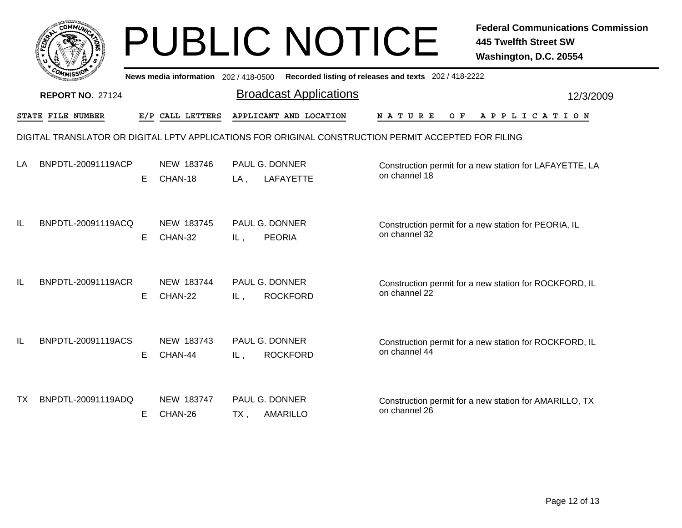|     |                          |    |                                       | <b>PUBLIC NOTICE</b>                                                                                 |                                                       | <b>Federal Communications Commission</b><br><b>445 Twelfth Street SW</b><br>Washington, D.C. 20554 |  |
|-----|--------------------------|----|---------------------------------------|------------------------------------------------------------------------------------------------------|-------------------------------------------------------|----------------------------------------------------------------------------------------------------|--|
|     |                          |    | News media information 202 / 418-0500 |                                                                                                      | Recorded listing of releases and texts 202 / 418-2222 |                                                                                                    |  |
|     | <b>REPORT NO. 27124</b>  |    |                                       | <b>Broadcast Applications</b>                                                                        |                                                       | 12/3/2009                                                                                          |  |
|     | <b>STATE FILE NUMBER</b> |    | E/P CALL LETTERS                      | APPLICANT AND LOCATION                                                                               | N A T U R E<br>O F                                    | A P P L I C A T I O N                                                                              |  |
|     |                          |    |                                       | DIGITAL TRANSLATOR OR DIGITAL LPTV APPLICATIONS FOR ORIGINAL CONSTRUCTION PERMIT ACCEPTED FOR FILING |                                                       |                                                                                                    |  |
| LA  | BNPDTL-20091119ACP       | E. | NEW 183746<br>CHAN-18                 | <b>PAUL G. DONNER</b><br><b>LAFAYETTE</b><br>$LA$ ,                                                  | on channel 18                                         | Construction permit for a new station for LAFAYETTE, LA                                            |  |
| IL  | BNPDTL-20091119ACQ       | E. | NEW 183745<br>CHAN-32                 | PAUL G. DONNER<br><b>PEORIA</b><br>IL,                                                               | on channel 32                                         | Construction permit for a new station for PEORIA, IL                                               |  |
| IL  | BNPDTL-20091119ACR       | E. | NEW 183744<br>CHAN-22                 | PAUL G. DONNER<br><b>ROCKFORD</b><br>IL,                                                             | on channel 22                                         | Construction permit for a new station for ROCKFORD, IL                                             |  |
| IL  | BNPDTL-20091119ACS       | E. | NEW 183743<br>CHAN-44                 | PAUL G. DONNER<br><b>ROCKFORD</b><br>IL,                                                             | on channel 44                                         | Construction permit for a new station for ROCKFORD, IL                                             |  |
| TX. | BNPDTL-20091119ADQ       | E. | NEW 183747<br>CHAN-26                 | PAUL G. DONNER<br><b>AMARILLO</b><br>TX,                                                             | on channel 26                                         | Construction permit for a new station for AMARILLO, TX                                             |  |